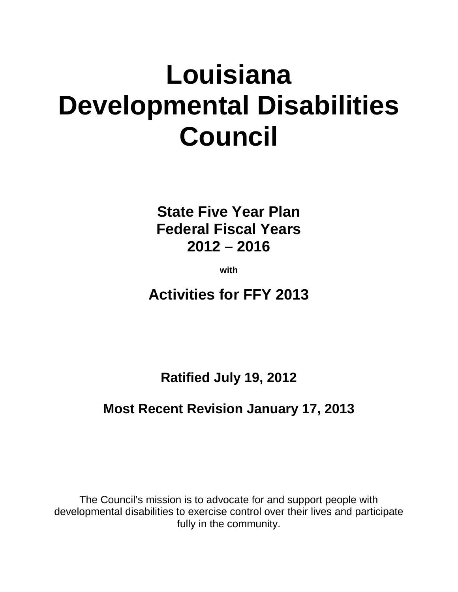# **Louisiana Developmental Disabilities Council**

**State Five Year Plan Federal Fiscal Years 2012 – 2016**

**with**

**Activities for FFY 2013**

**Ratified July 19, 2012**

### **Most Recent Revision January 17, 2013**

The Council's mission is to advocate for and support people with developmental disabilities to exercise control over their lives and participate fully in the community.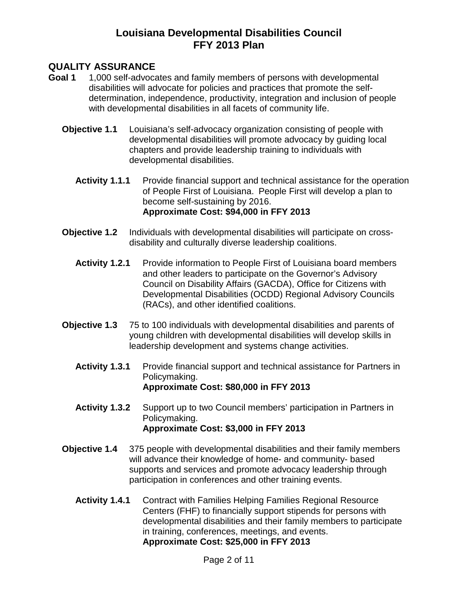#### **QUALITY ASSURANCE**

- **Goal 1** 1,000 self-advocates and family members of persons with developmental disabilities will advocate for policies and practices that promote the selfdetermination, independence, productivity, integration and inclusion of people with developmental disabilities in all facets of community life.
	- **Objective 1.1** Louisiana's self-advocacy organization consisting of people with developmental disabilities will promote advocacy by guiding local chapters and provide leadership training to individuals with developmental disabilities.
		- **Activity 1.1.1** Provide financial support and technical assistance for the operation of People First of Louisiana. People First will develop a plan to become self-sustaining by 2016. **Approximate Cost: \$94,000 in FFY 2013**
	- **Objective 1.2** Individuals with developmental disabilities will participate on crossdisability and culturally diverse leadership coalitions.
		- Activity 1.2.1 Provide information to People First of Louisiana board members and other leaders to participate on the Governor's Advisory Council on Disability Affairs (GACDA), Office for Citizens with Developmental Disabilities (OCDD) Regional Advisory Councils (RACs), and other identified coalitions.
	- **Objective 1.3** 75 to 100 individuals with developmental disabilities and parents of young children with developmental disabilities will develop skills in leadership development and systems change activities.
		- **Activity 1.3.1** Provide financial support and technical assistance for Partners in Policymaking. **Approximate Cost: \$80,000 in FFY 2013**
		- **Activity 1.3.2** Support up to two Council members' participation in Partners in Policymaking. **Approximate Cost: \$3,000 in FFY 2013**
	- **Objective 1.4** 375 people with developmental disabilities and their family members will advance their knowledge of home- and community- based supports and services and promote advocacy leadership through participation in conferences and other training events.
		- **Activity 1.4.1** Contract with Families Helping Families Regional Resource Centers (FHF) to financially support stipends for persons with developmental disabilities and their family members to participate in training, conferences, meetings, and events. **Approximate Cost: \$25,000 in FFY 2013**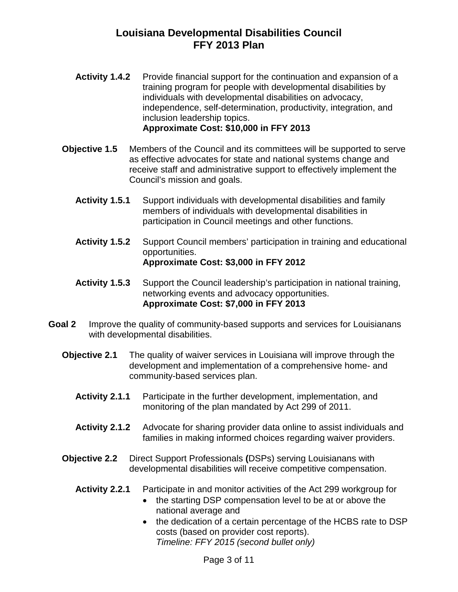- **Activity 1.4.2** Provide financial support for the continuation and expansion of a training program for people with developmental disabilities by individuals with developmental disabilities on advocacy, independence, self-determination, productivity, integration, and inclusion leadership topics. **Approximate Cost: \$10,000 in FFY 2013**
- **Objective 1.5** Members of the Council and its committees will be supported to serve as effective advocates for state and national systems change and receive staff and administrative support to effectively implement the Council's mission and goals.
	- **Activity 1.5.1** Support individuals with developmental disabilities and family members of individuals with developmental disabilities in participation in Council meetings and other functions.
	- **Activity 1.5.2** Support Council members' participation in training and educational opportunities. **Approximate Cost: \$3,000 in FFY 2012**
	- **Activity 1.5.3** Support the Council leadership's participation in national training, networking events and advocacy opportunities. **Approximate Cost: \$7,000 in FFY 2013**
- **Goal 2** Improve the quality of community-based supports and services for Louisianans with developmental disabilities.
	- **Objective 2.1** The quality of waiver services in Louisiana will improve through the development and implementation of a comprehensive home- and community-based services plan.
		- **Activity 2.1.1** Participate in the further development, implementation, and monitoring of the plan mandated by Act 299 of 2011.
		- **Activity 2.1.2** Advocate for sharing provider data online to assist individuals and families in making informed choices regarding waiver providers.
	- **Objective 2.2** Direct Support Professionals **(**DSPs) serving Louisianans with developmental disabilities will receive competitive compensation.
		- **Activity 2.2.1** Participate in and monitor activities of the Act 299 workgroup for
			- the starting DSP compensation level to be at or above the national average and
			- the dedication of a certain percentage of the HCBS rate to DSP costs (based on provider cost reports). *Timeline: FFY 2015 (second bullet only)*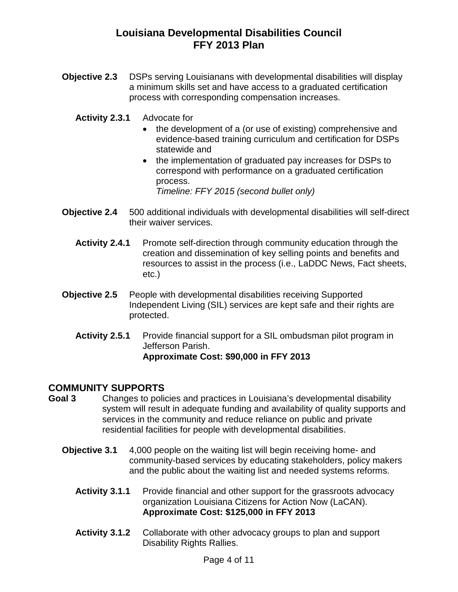- **Objective 2.3** DSPs serving Louisianans with developmental disabilities will display a minimum skills set and have access to a graduated certification process with corresponding compensation increases.
	- **Activity 2.3.1** Advocate for
		- the development of a (or use of existing) comprehensive and evidence-based training curriculum and certification for DSPs statewide and
		- the implementation of graduated pay increases for DSPs to correspond with performance on a graduated certification process.

*Timeline: FFY 2015 (second bullet only)*

- **Objective 2.4** 500 additional individuals with developmental disabilities will self-direct their waiver services.
	- **Activity 2.4.1** Promote self-direction through community education through the creation and dissemination of key selling points and benefits and resources to assist in the process (i.e., LaDDC News, Fact sheets, etc.)
- **Objective 2.5** People with developmental disabilities receiving Supported Independent Living (SIL) services are kept safe and their rights are protected.
	- **Activity 2.5.1** Provide financial support for a SIL ombudsman pilot program in Jefferson Parish. **Approximate Cost: \$90,000 in FFY 2013**

## **COMMUNITY SUPPORTS**

- **Goal 3** Changes to policies and practices in Louisiana's developmental disability system will result in adequate funding and availability of quality supports and services in the community and reduce reliance on public and private residential facilities for people with developmental disabilities.
	- **Objective 3.1** 4,000 people on the waiting list will begin receiving home- and community-based services by educating stakeholders, policy makers and the public about the waiting list and needed systems reforms.
		- **Activity 3.1.1** Provide financial and other support for the grassroots advocacy organization Louisiana Citizens for Action Now (LaCAN). **Approximate Cost: \$125,000 in FFY 2013**
		- **Activity 3.1.2** Collaborate with other advocacy groups to plan and support Disability Rights Rallies.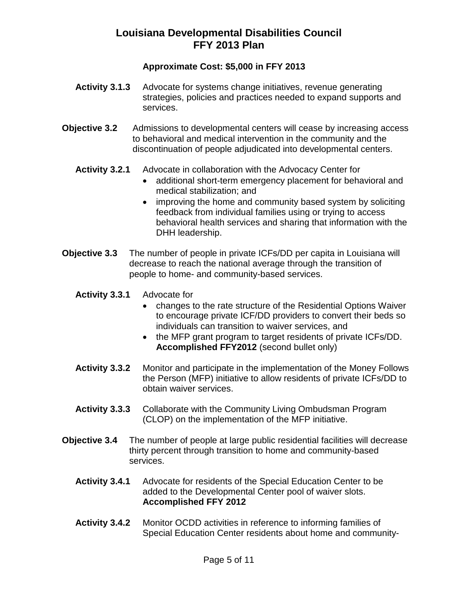#### **Approximate Cost: \$5,000 in FFY 2013**

- **Activity 3.1.3** Advocate for systems change initiatives, revenue generating strategies, policies and practices needed to expand supports and services.
- **Objective 3.2** Admissions to developmental centers will cease by increasing access to behavioral and medical intervention in the community and the discontinuation of people adjudicated into developmental centers.
	- **Activity 3.2.1** Advocate in collaboration with the Advocacy Center for
		- additional short-term emergency placement for behavioral and medical stabilization; and
		- improving the home and community based system by soliciting feedback from individual families using or trying to access behavioral health services and sharing that information with the DHH leadership.
- **Objective 3.3** The number of people in private ICFs/DD per capita in Louisiana will decrease to reach the national average through the transition of people to home- and community-based services.
	- **Activity 3.3.1** Advocate for
		- changes to the rate structure of the Residential Options Waiver to encourage private ICF/DD providers to convert their beds so individuals can transition to waiver services, and
		- the MFP grant program to target residents of private ICFs/DD. **Accomplished FFY2012** (second bullet only)
	- **Activity 3.3.2** Monitor and participate in the implementation of the Money Follows the Person (MFP) initiative to allow residents of private ICFs/DD to obtain waiver services.
	- **Activity 3.3.3** Collaborate with the Community Living Ombudsman Program (CLOP) on the implementation of the MFP initiative.
- **Objective 3.4** The number of people at large public residential facilities will decrease thirty percent through transition to home and community-based services.
	- **Activity 3.4.1** Advocate for residents of the Special Education Center to be added to the Developmental Center pool of waiver slots. **Accomplished FFY 2012**
	- **Activity 3.4.2** Monitor OCDD activities in reference to informing families of Special Education Center residents about home and community-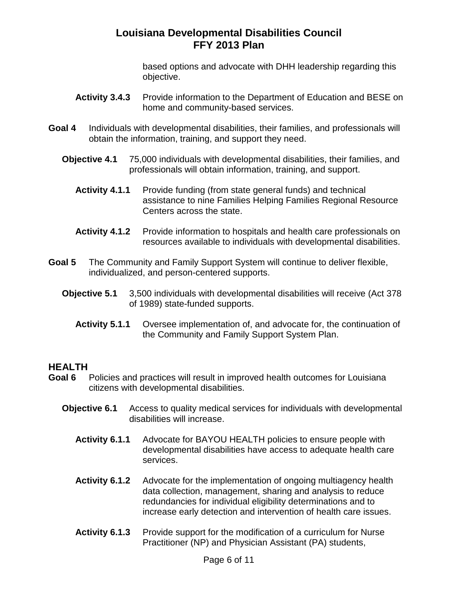based options and advocate with DHH leadership regarding this objective.

- Activity 3.4.3 Provide information to the Department of Education and BESE on home and community-based services.
- **Goal 4** Individuals with developmental disabilities, their families, and professionals will obtain the information, training, and support they need.
	- **Objective 4.1** 75,000 individuals with developmental disabilities, their families, and professionals will obtain information, training, and support.
		- **Activity 4.1.1** Provide funding (from state general funds) and technical assistance to nine Families Helping Families Regional Resource Centers across the state.
		- **Activity 4.1.2** Provide information to hospitals and health care professionals on resources available to individuals with developmental disabilities.
- **Goal 5** The Community and Family Support System will continue to deliver flexible, individualized, and person-centered supports.
	- **Objective 5.1** 3,500 individuals with developmental disabilities will receive (Act 378 of 1989) state-funded supports.
		- **Activity 5.1.1** Oversee implementation of, and advocate for, the continuation of the Community and Family Support System Plan.

#### **HEALTH**

- **Goal 6** Policies and practices will result in improved health outcomes for Louisiana citizens with developmental disabilities.
	- **Objective 6.1** Access to quality medical services for individuals with developmental disabilities will increase.
		- **Activity 6.1.1** Advocate for BAYOU HEALTH policies to ensure people with developmental disabilities have access to adequate health care services.
		- **Activity 6.1.2** Advocate for the implementation of ongoing multiagency health data collection, management, sharing and analysis to reduce redundancies for individual eligibility determinations and to increase early detection and intervention of health care issues.
		- Activity 6.1.3 Provide support for the modification of a curriculum for Nurse Practitioner (NP) and Physician Assistant (PA) students,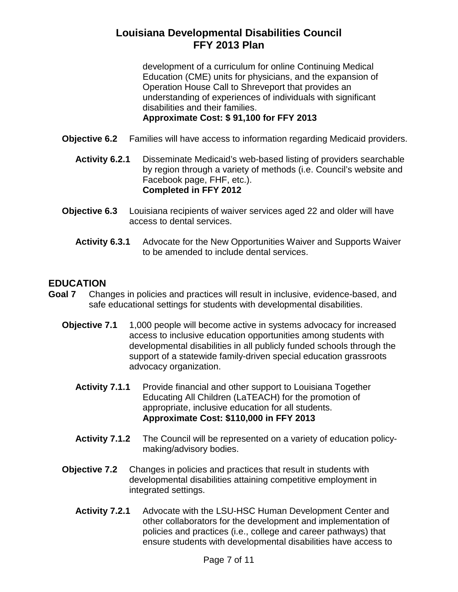development of a curriculum for online Continuing Medical Education (CME) units for physicians, and the expansion of Operation House Call to Shreveport that provides an understanding of experiences of individuals with significant disabilities and their families. **Approximate Cost: \$ 91,100 for FFY 2013**

- **Objective 6.2** Families will have access to information regarding Medicaid providers.
	- **Activity 6.2.1** Disseminate Medicaid's web-based listing of providers searchable by region through a variety of methods (i.e. Council's website and Facebook page, FHF, etc.). **Completed in FFY 2012**
- **Objective 6.3** Louisiana recipients of waiver services aged 22 and older will have access to dental services.
	- **Activity 6.3.1** Advocate for the New Opportunities Waiver and Supports Waiver to be amended to include dental services.

## **EDUCATION**

- **Goal 7** Changes in policies and practices will result in inclusive, evidence-based, and safe educational settings for students with developmental disabilities.
	- **Objective 7.1** 1,000 people will become active in systems advocacy for increased access to inclusive education opportunities among students with developmental disabilities in all publicly funded schools through the support of a statewide family-driven special education grassroots advocacy organization.
		- **Activity 7.1.1** Provide financial and other support to Louisiana Together Educating All Children (LaTEACH) for the promotion of appropriate, inclusive education for all students. **Approximate Cost: \$110,000 in FFY 2013**
		- **Activity 7.1.2** The Council will be represented on a variety of education policymaking/advisory bodies.
	- **Objective 7.2** Changes in policies and practices that result in students with developmental disabilities attaining competitive employment in integrated settings.
		- **Activity 7.2.1** Advocate with the LSU-HSC Human Development Center and other collaborators for the development and implementation of policies and practices (i.e., college and career pathways) that ensure students with developmental disabilities have access to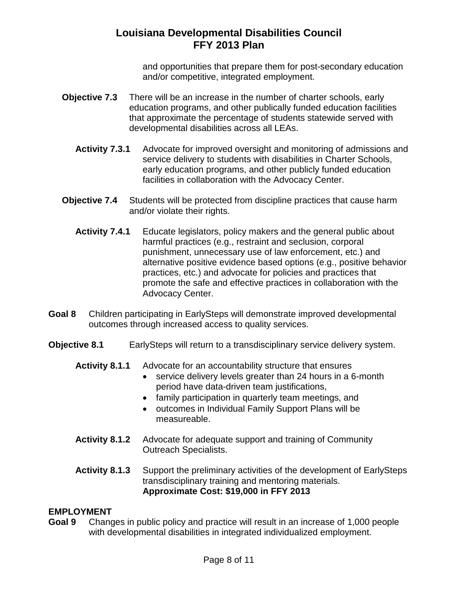and opportunities that prepare them for post-secondary education and/or competitive, integrated employment.

- **Objective 7.3** There will be an increase in the number of charter schools, early education programs, and other publically funded education facilities that approximate the percentage of students statewide served with developmental disabilities across all LEAs.
	- **Activity 7.3.1** Advocate for improved oversight and monitoring of admissions and service delivery to students with disabilities in Charter Schools, early education programs, and other publicly funded education facilities in collaboration with the Advocacy Center.
- **Objective 7.4** Students will be protected from discipline practices that cause harm and/or violate their rights.
	- **Activity 7.4.1** Educate legislators, policy makers and the general public about harmful practices (e.g., restraint and seclusion, corporal punishment, unnecessary use of law enforcement, etc.) and alternative positive evidence based options (e.g., positive behavior practices, etc.) and advocate for policies and practices that promote the safe and effective practices in collaboration with the Advocacy Center.
- **Goal 8** Children participating in EarlySteps will demonstrate improved developmental outcomes through increased access to quality services.
- **Objective 8.1** EarlySteps will return to a transdisciplinary service delivery system.
	- **Activity 8.1.1** Advocate for an accountability structure that ensures
		- service delivery levels greater than 24 hours in a 6-month period have data-driven team justifications,
		- family participation in quarterly team meetings, and
		- outcomes in Individual Family Support Plans will be measureable.
	- **Activity 8.1.2** Advocate for adequate support and training of Community Outreach Specialists.
	- **Activity 8.1.3** Support the preliminary activities of the development of EarlySteps transdisciplinary training and mentoring materials. **Approximate Cost: \$19,000 in FFY 2013**

#### **EMPLOYMENT**

**Goal 9** Changes in public policy and practice will result in an increase of 1,000 people with developmental disabilities in integrated individualized employment.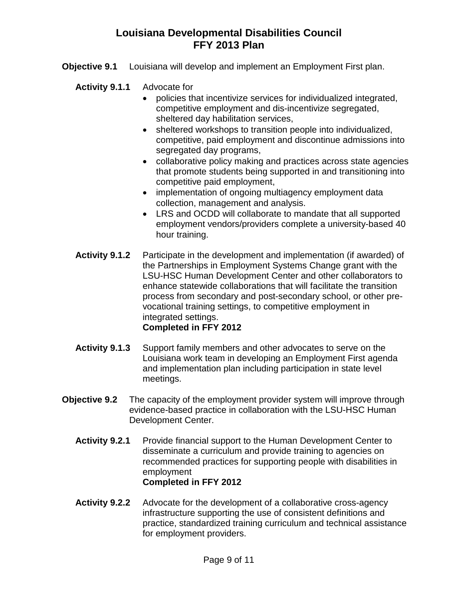- **Objective 9.1** Louisiana will develop and implement an Employment First plan.
	- **Activity 9.1.1** Advocate for
		- policies that incentivize services for individualized integrated, competitive employment and dis-incentivize segregated, sheltered day habilitation services,
		- sheltered workshops to transition people into individualized, competitive, paid employment and discontinue admissions into segregated day programs,
		- collaborative policy making and practices across state agencies that promote students being supported in and transitioning into competitive paid employment,
		- implementation of ongoing multiagency employment data collection, management and analysis.
		- LRS and OCDD will collaborate to mandate that all supported employment vendors/providers complete a university-based 40 hour training.
	- **Activity 9.1.2** Participate in the development and implementation (if awarded) of the Partnerships in Employment Systems Change grant with the LSU-HSC Human Development Center and other collaborators to enhance statewide collaborations that will facilitate the transition process from secondary and post-secondary school, or other prevocational training settings, to competitive employment in integrated settings. **Completed in FFY 2012**
	- **Activity 9.1.3** Support family members and other advocates to serve on the Louisiana work team in developing an Employment First agenda and implementation plan including participation in state level meetings.
- **Objective 9.2** The capacity of the employment provider system will improve through evidence-based practice in collaboration with the LSU-HSC Human Development Center.
	- **Activity 9.2.1** Provide financial support to the Human Development Center to disseminate a curriculum and provide training to agencies on recommended practices for supporting people with disabilities in employment **Completed in FFY 2012**
	- **Activity 9.2.2** Advocate for the development of a collaborative cross-agency infrastructure supporting the use of consistent definitions and practice, standardized training curriculum and technical assistance for employment providers.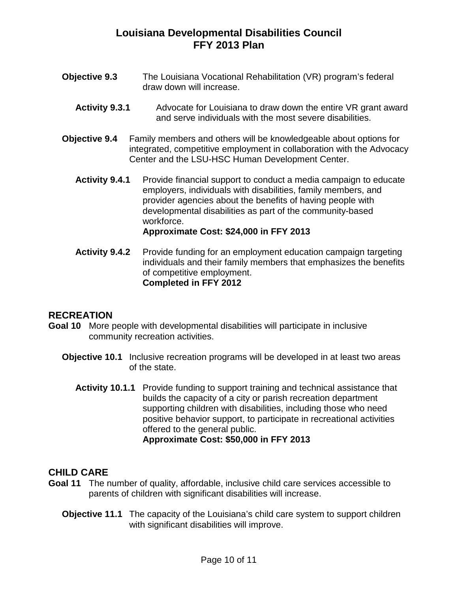- **Objective 9.3** The Louisiana Vocational Rehabilitation (VR) program's federal draw down will increase.
	- **Activity 9.3.1** Advocate for Louisiana to draw down the entire VR grant award and serve individuals with the most severe disabilities.
- **Objective 9.4** Family members and others will be knowledgeable about options for integrated, competitive employment in collaboration with the Advocacy Center and the LSU-HSC Human Development Center.
	- **Activity 9.4.1** Provide financial support to conduct a media campaign to educate employers, individuals with disabilities, family members, and provider agencies about the benefits of having people with developmental disabilities as part of the community-based workforce. **Approximate Cost: \$24,000 in FFY 2013**
	- **Activity 9.4.2** Provide funding for an employment education campaign targeting individuals and their family members that emphasizes the benefits of competitive employment. **Completed in FFY 2012**

#### **RECREATION**

- **Goal 10** More people with developmental disabilities will participate in inclusive community recreation activities.
	- **Objective 10.1** Inclusive recreation programs will be developed in at least two areas of the state.
		- **Activity 10.1.1** Provide funding to support training and technical assistance that builds the capacity of a city or parish recreation department supporting children with disabilities, including those who need positive behavior support, to participate in recreational activities offered to the general public. **Approximate Cost: \$50,000 in FFY 2013**

#### **CHILD CARE**

- **Goal 11** The number of quality, affordable, inclusive child care services accessible to parents of children with significant disabilities will increase.
	- **Objective 11.1** The capacity of the Louisiana's child care system to support children with significant disabilities will improve.